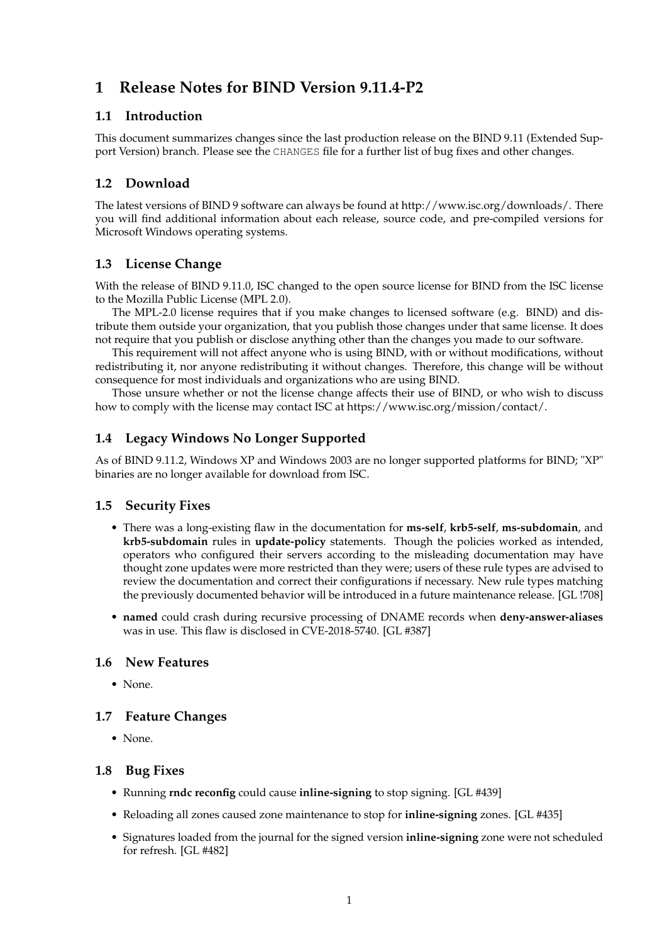# **1 Release Notes for BIND Version 9.11.4-P2**

### **1.1 Introduction**

This document summarizes changes since the last production release on the BIND 9.11 (Extended Support Version) branch. Please see the CHANGES file for a further list of bug fixes and other changes.

# **1.2 Download**

The latest versions of BIND 9 software can always be found at http://www.isc.org/downloads/. There you will find additional information about each release, source code, and pre-compiled versions for Microsoft Windows operating systems.

# **1.3 License Change**

With the release of BIND 9.11.0, ISC changed to the open source license for BIND from the ISC license to the Mozilla Public License (MPL 2.0).

The MPL-2.0 license requires that if you make changes to licensed software (e.g. BIND) and distribute them outside your organization, that you publish those changes under that same license. It does not require that you publish or disclose anything other than the changes you made to our software.

This requirement will not affect anyone who is using BIND, with or without modifications, without redistributing it, nor anyone redistributing it without changes. Therefore, this change will be without consequence for most individuals and organizations who are using BIND.

Those unsure whether or not the license change affects their use of BIND, or who wish to discuss how to comply with the license may contact ISC at https://www.isc.org/mission/contact/.

## **1.4 Legacy Windows No Longer Supported**

As of BIND 9.11.2, Windows XP and Windows 2003 are no longer supported platforms for BIND; "XP" binaries are no longer available for download from ISC.

#### **1.5 Security Fixes**

- There was a long-existing flaw in the documentation for **ms-self**, **krb5-self**, **ms-subdomain**, and **krb5-subdomain** rules in **update-policy** statements. Though the policies worked as intended, operators who configured their servers according to the misleading documentation may have thought zone updates were more restricted than they were; users of these rule types are advised to review the documentation and correct their configurations if necessary. New rule types matching the previously documented behavior will be introduced in a future maintenance release. [GL !708]
- **named** could crash during recursive processing of DNAME records when **deny-answer-aliases** was in use. This flaw is disclosed in CVE-2018-5740. [GL #387]

#### **1.6 New Features**

• None.

#### **1.7 Feature Changes**

• None.

#### **1.8 Bug Fixes**

- Running **rndc reconfig** could cause **inline-signing** to stop signing. [GL #439]
- Reloading all zones caused zone maintenance to stop for **inline-signing** zones. [GL #435]
- Signatures loaded from the journal for the signed version **inline-signing** zone were not scheduled for refresh. [GL #482]